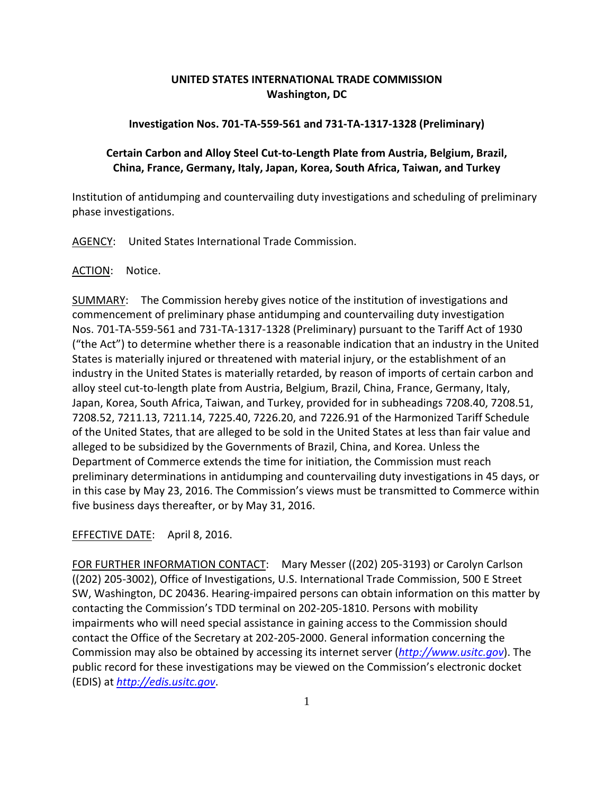## **UNITED STATES INTERNATIONAL TRADE COMMISSION Washington, DC**

## **Investigation Nos. 701‐TA‐559‐561 and 731‐TA‐1317‐1328 (Preliminary)**

## **Certain Carbon and Alloy Steel Cut‐to‐Length Plate from Austria, Belgium, Brazil, China, France, Germany, Italy, Japan, Korea, South Africa, Taiwan, and Turkey**

Institution of antidumping and countervailing duty investigations and scheduling of preliminary phase investigations.

AGENCY: United States International Trade Commission.

ACTION: Notice.

SUMMARY: The Commission hereby gives notice of the institution of investigations and commencement of preliminary phase antidumping and countervailing duty investigation Nos. 701‐TA‐559‐561 and 731‐TA‐1317‐1328 (Preliminary) pursuant to the Tariff Act of 1930 ("the Act") to determine whether there is a reasonable indication that an industry in the United States is materially injured or threatened with material injury, or the establishment of an industry in the United States is materially retarded, by reason of imports of certain carbon and alloy steel cut‐to‐length plate from Austria, Belgium, Brazil, China, France, Germany, Italy, Japan, Korea, South Africa, Taiwan, and Turkey, provided for in subheadings 7208.40, 7208.51, 7208.52, 7211.13, 7211.14, 7225.40, 7226.20, and 7226.91 of the Harmonized Tariff Schedule of the United States, that are alleged to be sold in the United States at less than fair value and alleged to be subsidized by the Governments of Brazil, China, and Korea. Unless the Department of Commerce extends the time for initiation, the Commission must reach preliminary determinations in antidumping and countervailing duty investigations in 45 days, or in this case by May 23, 2016. The Commission's views must be transmitted to Commerce within five business days thereafter, or by May 31, 2016.

EFFECTIVE DATE: April 8, 2016.

FOR FURTHER INFORMATION CONTACT: Mary Messer ((202) 205‐3193) or Carolyn Carlson ((202) 205‐3002), Office of Investigations, U.S. International Trade Commission, 500 E Street SW, Washington, DC 20436. Hearing-impaired persons can obtain information on this matter by contacting the Commission's TDD terminal on 202‐205‐1810. Persons with mobility impairments who will need special assistance in gaining access to the Commission should contact the Office of the Secretary at 202‐205‐2000. General information concerning the Commission may also be obtained by accessing its internet server (*http://www.usitc.gov*). The public record for these investigations may be viewed on the Commission's electronic docket (EDIS) at *http://edis.usitc.gov*.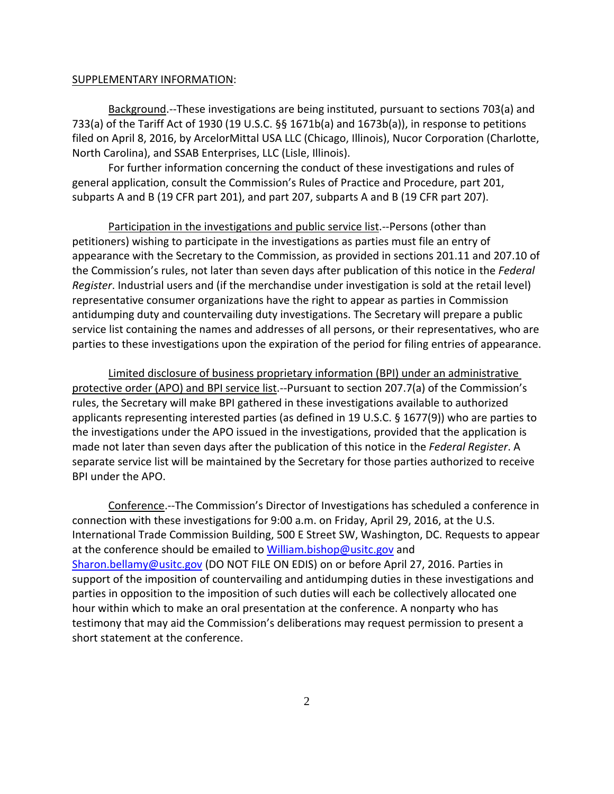## SUPPLEMENTARY INFORMATION:

Background.‐‐These investigations are being instituted, pursuant to sections 703(a) and 733(a) of the Tariff Act of 1930 (19 U.S.C. §§ 1671b(a) and 1673b(a)), in response to petitions filed on April 8, 2016, by ArcelorMittal USA LLC (Chicago, Illinois), Nucor Corporation (Charlotte, North Carolina), and SSAB Enterprises, LLC (Lisle, Illinois).

For further information concerning the conduct of these investigations and rules of general application, consult the Commission's Rules of Practice and Procedure, part 201, subparts A and B (19 CFR part 201), and part 207, subparts A and B (19 CFR part 207).

Participation in the investigations and public service list.‐‐Persons (other than petitioners) wishing to participate in the investigations as parties must file an entry of appearance with the Secretary to the Commission, as provided in sections 201.11 and 207.10 of the Commission's rules, not later than seven days after publication of this notice in the *Federal Register*. Industrial users and (if the merchandise under investigation is sold at the retail level) representative consumer organizations have the right to appear as parties in Commission antidumping duty and countervailing duty investigations. The Secretary will prepare a public service list containing the names and addresses of all persons, or their representatives, who are parties to these investigations upon the expiration of the period for filing entries of appearance.

Limited disclosure of business proprietary information (BPI) under an administrative protective order (APO) and BPI service list.‐‐Pursuant to section 207.7(a) of the Commission's rules, the Secretary will make BPI gathered in these investigations available to authorized applicants representing interested parties (as defined in 19 U.S.C. § 1677(9)) who are parties to the investigations under the APO issued in the investigations, provided that the application is made not later than seven days after the publication of this notice in the *Federal Register*. A separate service list will be maintained by the Secretary for those parties authorized to receive BPI under the APO.

Conference.‐‐The Commission's Director of Investigations has scheduled a conference in connection with these investigations for 9:00 a.m. on Friday, April 29, 2016, at the U.S. International Trade Commission Building, 500 E Street SW, Washington, DC. Requests to appear at the conference should be emailed to William.bishop@usitc.gov and Sharon.bellamy@usitc.gov (DO NOT FILE ON EDIS) on or before April 27, 2016. Parties in support of the imposition of countervailing and antidumping duties in these investigations and parties in opposition to the imposition of such duties will each be collectively allocated one hour within which to make an oral presentation at the conference. A nonparty who has testimony that may aid the Commission's deliberations may request permission to present a short statement at the conference.